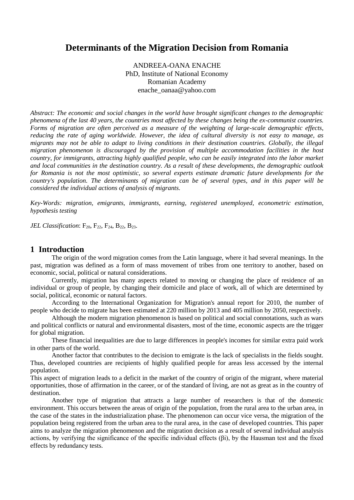# **Determinants of the Migration Decision from Romania**

ANDREEA-OANA ENACHE PhD, Institute of National Economy Romanian Academy enache\_oanaa@yahoo.com

*Abstract: The economic and social changes in the world have brought significant changes to the demographic phenomena of the last 40 years, the countries most affected by these changes being the ex-communist countries. Forms of migration are often perceived as a measure of the weighting of large-scale demographic effects, reducing the rate of aging worldwide. However, the idea of cultural diversity is not easy to manage, as migrants may not be able to adapt to living conditions in their destination countries. Globally, the illegal migration phenomenon is discouraged by the provision of multiple accommodation facilities in the host country, for immigrants, attracting highly qualified people, who can be easily integrated into the labor market and local communities in the destination country. As a result of these developments, the demographic outlook for Romania is not the most optimistic, so several experts estimate dramatic future developments for the country's population. The determinants of migration can be of several types, and in this paper will be considered the individual actions of analysis of migrants.*

*Key-Words: migration, emigrants, immigrants, earning, registered unemployed, econometric estimation, hypothesis testing*

*JEL Classification*: F<sub>20</sub>, F<sub>22</sub>, F<sub>24</sub>, B<sub>22</sub>, B<sub>23</sub>.

#### **1 Introduction**

The origin of the word migration comes from the Latin language, where it had several meanings. In the past, migration was defined as a form of mass movement of tribes from one territory to another, based on economic, social, political or natural considerations.

Currently, migration has many aspects related to moving or changing the place of residence of an individual or group of people, by changing their domicile and place of work, all of which are determined by social, political, economic or natural factors.

According to the International Organization for Migration's annual report for 2010, the number of people who decide to migrate has been estimated at 220 million by 2013 and 405 million by 2050, respectively.

Although the modern migration phenomenon is based on political and social connotations, such as wars and political conflicts or natural and environmental disasters, most of the time, economic aspects are the trigger for global migration.

These financial inequalities are due to large differences in people's incomes for similar extra paid work in other parts of the world.

Another factor that contributes to the decision to emigrate is the lack of specialists in the fields sought. Thus, developed countries are recipients of highly qualified people for areas less accessed by the internal population.

This aspect of migration leads to a deficit in the market of the country of origin of the migrant, where material opportunities, those of affirmation in the career, or of the standard of living, are not as great as in the country of destination.

Another type of migration that attracts a large number of researchers is that of the domestic environment. This occurs between the areas of origin of the population, from the rural area to the urban area, in the case of the states in the industrialization phase. The phenomenon can occur vice versa, the migration of the population being registered from the urban area to the rural area, in the case of developed countries. This paper aims to analyze the migration phenomenon and the migration decision as a result of several individual analysis actions, by verifying the significance of the specific individual effects (βi), by the Hausman test and the fixed effects by redundancy tests.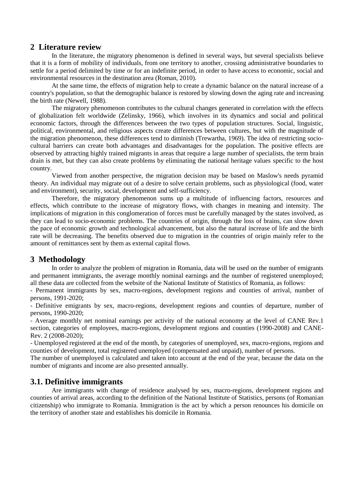#### **2 Literature review**

In the literature, the migratory phenomenon is defined in several ways, but several specialists believe that it is a form of mobility of individuals, from one territory to another, crossing administrative boundaries to settle for a period delimited by time or for an indefinite period, in order to have access to economic, social and environmental resources in the destination area (Roman, 2010).

At the same time, the effects of migration help to create a dynamic balance on the natural increase of a country's population, so that the demographic balance is restored by slowing down the aging rate and increasing the birth rate (Newell, 1988).

The migratory phenomenon contributes to the cultural changes generated in correlation with the effects of globalization felt worldwide (Zelinsky, 1966), which involves in its dynamics and social and political economic factors, through the differences between the two types of population structures. Social, linguistic, political, environmental, and religious aspects create differences between cultures, but with the magnitude of the migration phenomenon, these differences tend to diminish (Trewartha, 1969). The idea of restricting sociocultural barriers can create both advantages and disadvantages for the population. The positive effects are observed by attracting highly trained migrants in areas that require a large number of specialists, the term brain drain is met, but they can also create problems by eliminating the national heritage values specific to the host country.

Viewed from another perspective, the migration decision may be based on Maslow's needs pyramid theory. An individual may migrate out of a desire to solve certain problems, such as physiological (food, water and environment), security, social, development and self-sufficiency.

Therefore, the migratory phenomenon sums up a multitude of influencing factors, resources and effects, which contribute to the increase of migratory flows, with changes in meaning and intensity. The implications of migration in this conglomeration of forces must be carefully managed by the states involved, as they can lead to socio-economic problems. The countries of origin, through the loss of brains, can slow down the pace of economic growth and technological advancement, but also the natural increase of life and the birth rate will be decreasing. The benefits observed due to migration in the countries of origin mainly refer to the amount of remittances sent by them as external capital flows.

### **3 Methodology**

In order to analyze the problem of migration in Romania, data will be used on the number of emigrants and permanent immigrants, the average monthly nominal earnings and the number of registered unemployed; all these data are collected from the website of the National Institute of Statistics of Romania, as follows:

- Permanent immigrants by sex, macro-regions, development regions and counties of arrival, number of persons, 1991-2020;

- Definitive emigrants by sex, macro-regions, development regions and counties of departure, number of persons, 1990-2020;

- Average monthly net nominal earnings per activity of the national economy at the level of CANE Rev.1 section, categories of employees, macro-regions, development regions and counties (1990-2008) and CANE-Rev. 2 (2008-2020);

- Unemployed registered at the end of the month, by categories of unemployed, sex, macro-regions, regions and counties of development, total registered unemployed (compensated and unpaid), number of persons.

The number of unemployed is calculated and taken into account at the end of the year, because the data on the number of migrants and income are also presented annually.

### **3.1. Definitive immigrants**

Are immigrants with change of residence analysed by sex, macro-regions, development regions and counties of arrival areas, according to the definition of the National Institute of Statistics, persons (of Romanian citizenship) who immigrate to Romania. Immigration is the act by which a person renounces his domicile on the territory of another state and establishes his domicile in Romania.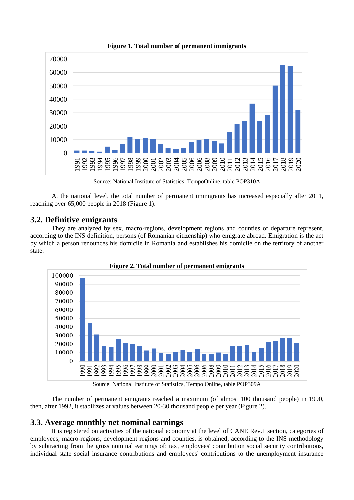

**Figure 1. Total number of permanent immigrants**

Source: National Institute of Statistics, TempoOnline, table POP310A

At the national level, the total number of permanent immigrants has increased especially after 2011, reaching over 65,000 people in 2018 (Figure 1).

#### **3.2. Definitive emigrants**

They are analyzed by sex, macro-regions, development regions and counties of departure represent, according to the INS definition, persons (of Romanian citizenship) who emigrate abroad. Emigration is the act by which a person renounces his domicile in Romania and establishes his domicile on the territory of another state.





Source: National Institute of Statistics, Tempo Online, table POP309A

The number of permanent emigrants reached a maximum (of almost 100 thousand people) in 1990, then, after 1992, it stabilizes at values between 20-30 thousand people per year (Figure 2).

### **3.3. Average monthly net nominal earnings**

It is registered on activities of the national economy at the level of CANE Rev.1 section, categories of employees, macro-regions, development regions and counties, is obtained, according to the INS methodology by subtracting from the gross nominal earnings of: tax, employees' contribution social security contributions, individual state social insurance contributions and employees' contributions to the unemployment insurance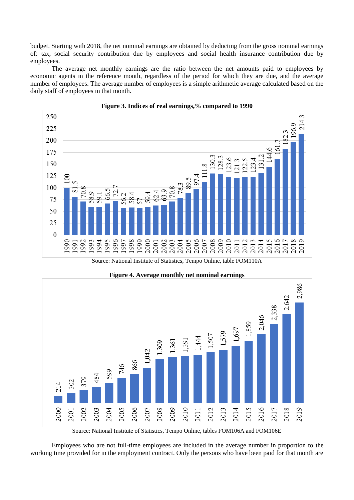budget. Starting with 2018, the net nominal earnings are obtained by deducting from the gross nominal earnings of: tax, social security contribution due by employees and social health insurance contribution due by employees.

The average net monthly earnings are the ratio between the net amounts paid to employees by economic agents in the reference month, regardless of the period for which they are due, and the average number of employees. The average number of employees is a simple arithmetic average calculated based on the daily staff of employees in that month.





Source: National Institute of Statistics, Tempo Online, table FOM110A



**Figure 4. Average monthly net nominal earnings**

Source: National Institute of Statistics, Tempo Online, tables FOM106A and FOM106E

Employees who are not full-time employees are included in the average number in proportion to the working time provided for in the employment contract. Only the persons who have been paid for that month are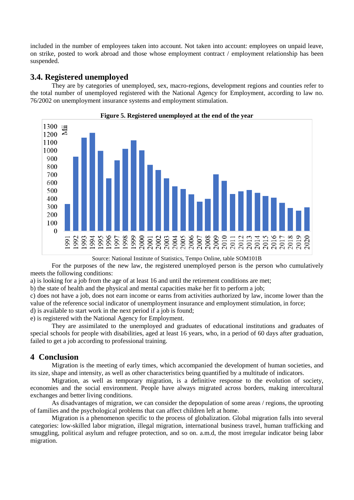included in the number of employees taken into account. Not taken into account: employees on unpaid leave, on strike, posted to work abroad and those whose employment contract / employment relationship has been suspended.

## **3.4. Registered unemployed**

They are by categories of unemployed, sex, macro-regions, development regions and counties refer to the total number of unemployed registered with the National Agency for Employment, according to law no. 76/2002 on unemployment insurance systems and employment stimulation.



**Figure 5. Registered unemployed at the end of the year**

Source: National Institute of Statistics, Tempo Online, table SOM101B

For the purposes of the new law, the registered unemployed person is the person who cumulatively meets the following conditions:

a) is looking for a job from the age of at least 16 and until the retirement conditions are met;

b) the state of health and the physical and mental capacities make her fit to perform a job;

c) does not have a job, does not earn income or earns from activities authorized by law, income lower than the value of the reference social indicator of unemployment insurance and employment stimulation, in force;

d) is available to start work in the next period if a job is found;

e) is registered with the National Agency for Employment.

They are assimilated to the unemployed and graduates of educational institutions and graduates of special schools for people with disabilities, aged at least 16 years, who, in a period of 60 days after graduation, failed to get a job according to professional training.

### **4 Conclusion**

Migration is the meeting of early times, which accompanied the development of human societies, and its size, shape and intensity, as well as other characteristics being quantified by a multitude of indicators.

Migration, as well as temporary migration, is a definitive response to the evolution of society, economies and the social environment. People have always migrated across borders, making intercultural exchanges and better living conditions.

As disadvantages of migration, we can consider the depopulation of some areas / regions, the uprooting of families and the psychological problems that can affect children left at home.

Migration is a phenomenon specific to the process of globalization. Global migration falls into several categories: low-skilled labor migration, illegal migration, international business travel, human trafficking and smuggling, political asylum and refugee protection, and so on. a.m.d, the most irregular indicator being labor migration.